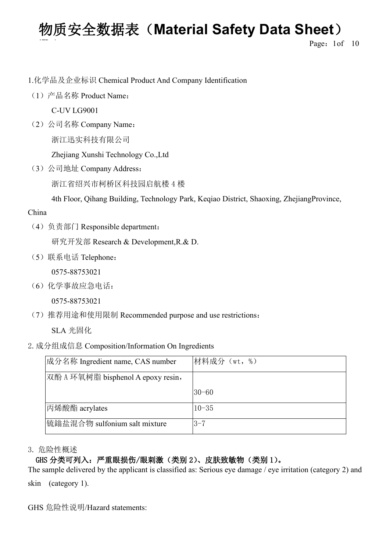**Page:** 1of 10

1.化学品及企业标识 Chemical Product And Company Identification

(1)产品名称 Product Name:

C-UV LG9001

(2) 公司名称 Company Name: 浙江迅实科技有限公司

Zhejiang Xunshi Technology Co.,Ltd

(3)公司地址 Company Address:

浙江省绍兴市柯桥区科技园启航楼 4 楼

4th Floor, Qihang Building, Technology Park, Keqiao District, Shaoxing, ZhejiangProvince,

### China

(4)负责部门 Responsible department:

研究开发部 Research & Development,R.& D.

(5)联系电话 Telephone:

0575-88753021

(6)化学事故应急电话:

0575-88753021

(7)推荐用途和使用限制 Recommended purpose and use restrictions:

SLA 光固化

2.成分组成信息 Composition/Information On Ingredients

| 成分名称 Ingredient name, CAS number   | 材料成分(wt, %) |  |
|------------------------------------|-------------|--|
| 双酚 A 环氧树脂 bisphenol A epoxy resin, |             |  |
|                                    | $ 30 - 60 $ |  |
| 丙烯酸酯 acrylates                     | $10 - 35$   |  |
| 锍鎓盐混合物 sulfonium salt mixture      | $3 - 7$     |  |

3. 危险性概述

### GHS 分类可列入:严重眼损伤/眼刺激(类别 2)、皮肤致敏物(类别 1)。

The sample delivered by the applicant is classified as: Serious eye damage / eye irritation (category 2) and skin (category 1).

GHS 危险性说明/Hazard statements: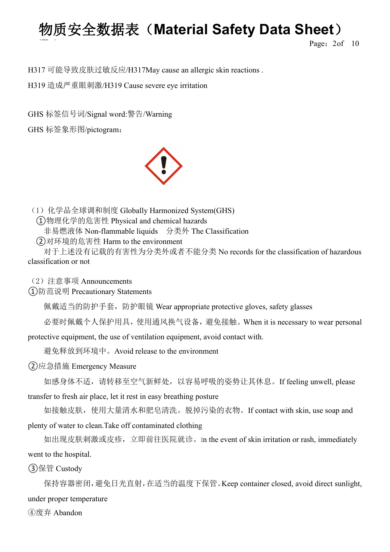**Page:** 2of 10

H317 可能导致皮肤过敏反应/H317May cause an allergic skin reactions .

H319 造成严重眼刺激/H319 Cause severe eye irritation

GHS 标签信号词/Signal word:警告/Warning

GHS 标签象形图/pictogram:



(1) 化学品全球调和制度 Globally Harmonized System(GHS) ①物理化学的危害性 Physical and chemical hazards 非易燃液体 Non-flammable liquids 分类外 The Classification

②对环境的危害性 Harm to the environment

对于上述没有记载的有害性为分类外或者不能分类 No records for the classification of hazardous classification or not

(2)注意事项 Announcements

①防范说明 Precautionary Statements

佩戴适当的防护手套,防护眼镜 Wear appropriate protective gloves, safety glasses

必要时佩戴个人保护用具,使用通风换气设备,避免接触。When it is necessary to wear personal

protective equipment, the use of ventilation equipment, avoid contact with.

避免释放到环境中。Avoid release to the environment

②应急措施 Emergency Measure

如感身体不适,请转移至空气新鲜处,以容易呼吸的姿势让其休息。If feeling unwell, please transfer to fresh air place, let it rest in easy breathing posture

如接触皮肤,使用大量清水和肥皂清洗。脱掉污染的衣物。If contact with skin, use soap and plenty of water to clean.Take off contaminated clothing

如出现皮肤刺激或皮疹,立即前往医院就诊。In the event of skin irritation or rash, immediately went to the hospital.

③保管 Custody

保持容器密闭,避免日光直射,在适当的温度下保管。Keep container closed, avoid direct sunlight, under proper temperature

④废弃 Abandon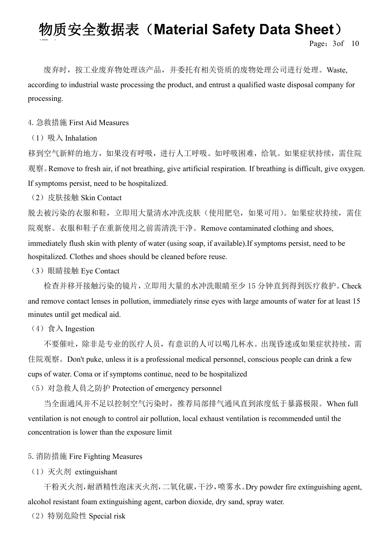Page: 3of 10

废弃时, 按工业废弃物处理该产品, 并委托有相关资质的废物处理公司进行处理。Waste, according to industrial waste processing the product, and entrust a qualified waste disposal company for processing.

4.急救措施 First Aid Measures

(1)  $\mathbb{W} \wedge$  Inhalation

移到空气新鲜的地方,如果没有呼吸,进行人工呼吸。如呼吸困难,给氧。如果症状持续,需住院 观察。Remove to fresh air, if not breathing, give artificial respiration. If breathing is difficult, give oxygen. If symptoms persist, need to be hospitalized.

(2) 皮肤接触 Skin Contact

脱去被污染的衣服和鞋,立即用大量清水冲洗皮肤(使用肥皂,如果可用)。如果症状持续,需住 院观察。衣服和鞋子在重新使用之前需清洗干净。Remove contaminated clothing and shoes, immediately flush skin with plenty of water (using soap, if available).If symptoms persist, need to be hospitalized. Clothes and shoes should be cleaned before reuse.

(3)眼睛接触 Eye Contact

检查并移开接触污染的镜片,立即用大量的水冲洗眼睛至少 15 分钟直到得到医疗救护。Check and remove contact lenses in pollution, immediately rinse eyes with large amounts of water for at least 15 minutes until get medical aid.

(4)  $\hat{\mathbb{R}} \lambda$  Ingestion

不要催吐,除非是专业的医疗人员,有意识的人可以喝几杯水。出现昏迷或如果症状持续,需 住院观察。Don't puke, unless it is a professional medical personnel, conscious people can drink a few cups of water. Coma or if symptoms continue, need to be hospitalized

(5)对急救人員之防护 Protection of emergency personnel

当全面通风并不足以控制空气污染时,推荐局部排气通风直到浓度低于暴露极限。When full ventilation is not enough to control air pollution, local exhaust ventilation is recommended until the concentration is lower than the exposure limit

5.消防措施 Fire Fighting Measures

(1)灭火剂 extinguishant

干粉灭火剂,耐酒精性泡沫灭火剂,二氧化碳,干沙,喷雾水。Dry powder fire extinguishing agent, alcohol resistant foam extinguishing agent, carbon dioxide, dry sand, spray water.

(2)特别危险性 Special risk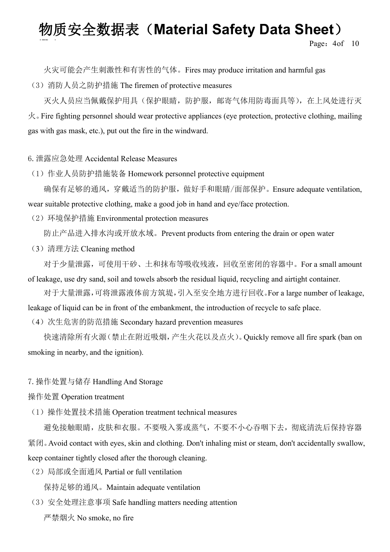**Page:** 4of 10

火灾可能会产生刺激性和有害性的气体。Fires may produce irritation and harmful gas

(3)消防人员之防护措施 The firemen of protective measures

灭火人员应当佩戴保护用具(保护眼睛,防护服,邮寄气体用防毒面具等),在上风处进行灭  $\mathcal{R}$ . Fire fighting personnel should wear protective appliances (eye protection, protective clothing, mailing gas with gas mask, etc.), put out the fire in the windward.

#### 6.泄露应急处理 Accidental Release Measures

(1)作业人员防护措施装备 Homework personnel protective equipment

确保有足够的通风,穿戴适当的防护服,做好手和眼睛/面部保护。Ensure adequate ventilation, wear suitable protective clothing, make a good job in hand and eye/face protection.

(2)环境保护措施 Environmental protection measures

防止产品进入排水沟或开放水域。Prevent products from entering the drain or open water

(3)清理方法 Cleaning method

对于少量泄露,可使用干砂、土和抹布等吸收残液,回收至密闭的容器中。For a small amount of leakage, use dry sand, soil and towels absorb the residual liquid, recycling and airtight container.

对于大量泄露,可将泄露液体前方筑堤,引入至安全地方进行回收。For a large number of leakage, leakage of liquid can be in front of the embankment, the introduction of recycle to safe place.

(4) 次生危害的防范措施 Secondary hazard prevention measures

快速清除所有火源(禁止在附近吸烟,产生火花以及点火)。Quickly remove all fire spark (ban on smoking in nearby, and the ignition).

#### 7.操作处置与储存 Handling And Storage

#### 操作处置 Operation treatment

(1)操作处置技术措施 Operation treatment technical measures

避免接触眼睛,皮肤和衣服。不要吸入雾或蒸气,不要不小心吞咽下去,彻底清洗后保持容器 紧闭。Avoid contact with eyes, skin and clothing. Don't inhaling mist or steam, don't accidentally swallow, keep container tightly closed after the thorough cleaning.

(2)局部或全面通风 Partial or full ventilation

保持足够的通风。Maintain adequate ventilation

- (3) 安全处理注意事项 Safe handling matters needing attention
	- 严禁烟火 No smoke, no fire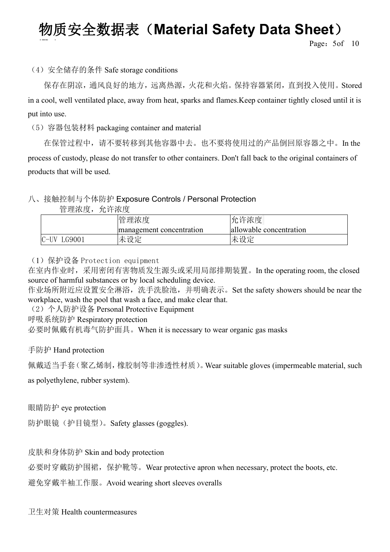**Page:** 5of 10

### (4) 安全储存的条件 Safe storage conditions

保存在阴凉,通风良好的地方,远离热源,火花和火焰。保持容器紧闭,直到投入使用。Stored in a cool, well ventilated place, away from heat, sparks and flames.Keep container tightly closed until it is put into use.

(5)容器包装材料 packaging container and material

在保管过程中,请不要转移到其他容器中去。也不要将使用过的产品倒回原容器之中。In the process of custody, please do not transfer to other containers. Don't fall back to the original containers of products that will be used.

### 八、接触控制与个体防护 Exposure Controls / Personal Protection

| 管理浓度,           | 允许浓度                     |                         |
|-----------------|--------------------------|-------------------------|
|                 | 管理浓度                     | 允许浓度                    |
|                 | management concentration | allowable concentration |
| $C-UV$<br>G9001 | 未设定                      | 未设定                     |

(1)保护设备 Protection equipment

在室内作业时,采用密闭有害物质发生源头或采用局部排期装置。In the operating room, the closed source of harmful substances or by local scheduling device.

作业场所附近应设置安全淋浴,洗手洗脸池,并明确表示。Set the safety showers should be near the workplace, wash the pool that wash a face, and make clear that.

(2)个人防护设备 Personal Protective Equipment

呼吸系统防护 Respiratory protection

必要时佩戴有机毒气防护面具。When it is necessary to wear organic gas masks

#### 手防护 Hand protection

佩戴适当手套(聚乙烯制,橡胶制等非渗透性材质)。Wear suitable gloves (impermeable material, such

as polyethylene, rubber system).

眼睛防护 eye protection

防护眼镜(护目镜型)。Safety glasses (goggles).

皮肤和身体防护 Skin and body protection

必要时穿戴防护围裙, 保护靴等。Wear protective apron when necessary, protect the boots, etc.

避免穿戴半袖工作服。Avoid wearing short sleeves overalls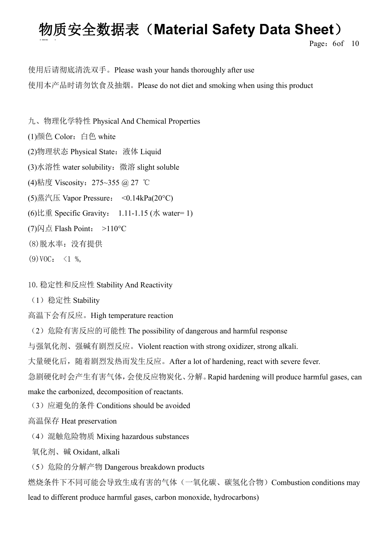**Page:** 6of 10

使用后请彻底清洗双手。Please wash your hands thoroughly after use 使用本产品时请勿饮食及抽烟。Please do not diet and smoking when using this product

九、物理化学特性 Physical And Chemical Properties

(1)颜色 Color: 白色 white

(2)物理状态 Physical State:液体 Liquid

(3)水溶性 water solubility:微溶 slight soluble

(4)粘度 Viscosity:275~355 @ 27 ℃

(5)蒸汽压 Vapor Pressure: <0.14kPa(20°C)

(6)比重 Specific Gravity:  $1.11 - 1.15$  (水 water= 1)

 $(7)$ 闪点 Flash Point: >110°C

(8)脱水率:没有提供

 $(9) \text{VOC}: \leq 1 \%$ 

10.稳定性和反应性 Stability And Reactivity

(1)稳定性 Stability

高温下会有反应。High temperature reaction

(2) 危险有害反应的可能性 The possibility of dangerous and harmful response

与强氧化剂、强碱有剧烈反应。Violent reaction with strong oxidizer, strong alkali.

大量硬化后,随着剧烈发热而发生反应。After a lot of hardening, react with severe fever.

急剧硬化时会产生有害气体,会使反应物炭化、分解。Rapid hardening will produce harmful gases, can

make the carbonized, decomposition of reactants.

(3)应避免的条件 Conditions should be avoided

高温保存 Heat preservation

(4) 混触危险物质 Mixing hazardous substances

氧化剂、碱 Oxidant, alkali

(5) 危险的分解产物 Dangerous breakdown products

燃烧条件下不同可能会导致生成有害的气体(一氧化碳、碳氢化合物)Combustion conditions may lead to different produce harmful gases, carbon monoxide, hydrocarbons)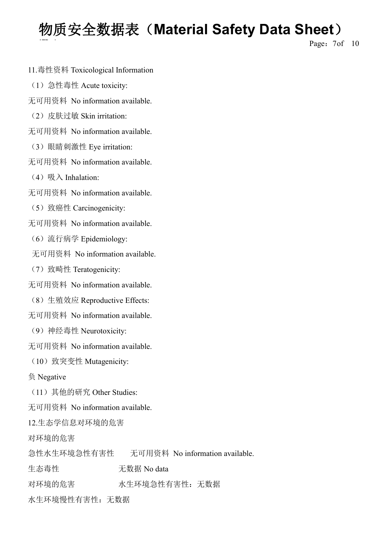**Page:** 7of 10

- 11.毒性资料 Toxicological Information
- (1)急性毒性 Acute toxicity:
- 无可用资料 No information available.
- (2) 皮肤过敏 Skin irritation:
- 无可用资料 No information available.
- (3)眼睛刺激性 Eye irritation:
- 无可用资料 No information available.
- (4)  $\mathbb{W} \wedge$  Inhalation:
- 无可用资料 No information available.
- (5)致癌性 Carcinogenicity:
- 无可用资料 No information available.
	- (6)流行病学 Epidemiology:
	- 无可用资料 No information available.
	- (7)致畸性 Teratogenicity:
- 无可用资料 No information available.
- (8)生殖效应 Reproductive Effects:
- 无可用资料 No information available.
- (9)神经毒性 Neurotoxicity:
- 无可用资料 No information available.
- (10)致突变性 Mutagenicity:
- 负 Negative
- (11)其他的研究 Other Studies:
- 无可用资料 No information available.
- 12.生态学信息对环境的危害
- 对环境的危害
- 急性水生环境急性有害性 无可用资料 No information available.
- 生态毒性 无数据 No data
- 对环境的危害 水生环境急性有害性:无数据
- 水生环境慢性有害性:无数据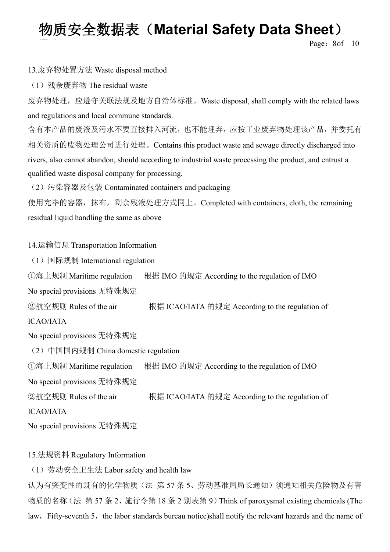**Page: 8of 10** 

#### 13.废弃物处置方法 Waste disposal method

(1)残余废弃物 The residual waste

废弃物处理,应遵守关联法规及地方自治体标准。Waste disposal, shall comply with the related laws and regulations and local commune standards.

含有本产品的废液及污水不要直接排入河流,也不能埋弃,应按工业废弃物处理该产品,并委托有 相关资质的废物处理公司进行处理。Contains this product waste and sewage directly discharged into rivers, also cannot abandon, should according to industrial waste processing the product, and entrust a qualified waste disposal company for processing.

(2)污染容器及包装 Contaminated containers and packaging

使用完毕的容器,抹布,剩余残液处理方式同上。Completed with containers, cloth, the remaining residual liquid handling the same as above

#### 14.运输信息 Transportation Information

(1)国际规制 International regulation

①海上规制 Maritime regulation 根据 IMO 的规定 According to the regulation of IMO

No special provisions 无特殊规定

②航空规则 Rules of the air <br>根据 ICAO/IATA 的规定 According to the regulation of ICAO/IATA

No special provisions 无特殊规定

(2)中国国内规制 China domestic regulation

①海上规制 Maritime regulation 根据 IMO 的规定 According to the regulation of IMO

No special provisions 无特殊规定

②航空规则 Rules ofthe air 根据 ICAO/IATA 的规定 According to the regulation of

ICAO/IATA

No special provisions 无特殊规定

### 15.法规资料 Regulatory Information

(1)劳动安全卫生法 Labor safety and health law

认为有突变性的既有的化学物质(法 第 57 条 5、劳动基准局局长通知)须通知相关危险物及有害 物质的名称(法 第 57 条 2、施行令第 18 条 2 别表第 9)Think of paroxysmal existing chemicals (The law, Fifty-seventh 5, the labor standards bureau notice)shall notify the relevant hazards and the name of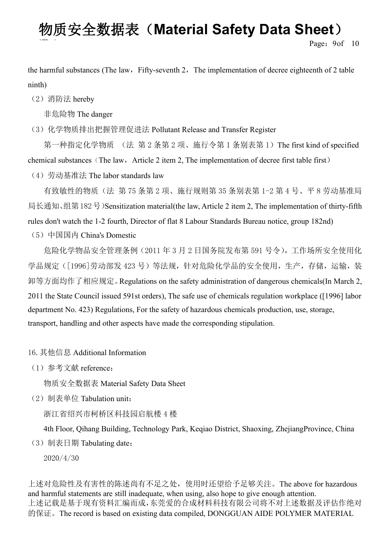**Page:** 9of 10

the harmful substances (The law, Fifty-seventh 2, The implementation of decree eighteenth of 2 table ninth)

(2)消防法 hereby

非危险物 The danger

(3) 化学物质排出把握管理促进法 Pollutant Release and Transfer Register

第一种指定化学物质 (法 第 2 条第 2 项、施行令第 1 条别表第 1) The first kind of specified chemical substances (The law, Article 2 item 2, The implementation of decree first table first)

(4)劳动基准法 The labor standards law

有致敏性的物质(法 第 75 条第 2 项、施行规则第 35 条别表第 1-2 第 4 号、平 8 劳动基准局 局长通知、组第182号)Sensitization material(the law, Article 2 item 2, The implementation of thirty-fifth rules don't watch the 1-2 fourth, Director of flat 8 Labour Standards Bureau notice, group 182nd)

(5)中国国内 China's Domestic

危险化学物品安全管理条例(2011 年 3 月 2 日国务院发布第 591 号令),工作场所安全使用化 学品规定([1996]劳动部发 423 号)等法规,针对危险化学品的安全使用,生产,存储,运输,装 卸等方面均作了相应规定。Regulations on the safety administration of dangerous chemicals(In March 2, 2011 the State Council issued 591st orders), The safe use of chemicals regulation workplace ([1996] labor department No. 423) Regulations, For the safety of hazardous chemicals production, use, storage, transport, handling and other aspects have made the corresponding stipulation.

16.其他信息 Additional Information

(1)参考文献 reference:

物质安全数据表 Material Safety Data Sheet

(2)制表单位 Tabulation unit:

浙江省绍兴市柯桥区科技园启航楼 4 楼

4th Floor, Qihang Building, Technology Park, Keqiao District, Shaoxing, ZhejiangProvince, China  $(3)$  制表日期 Tabulating date:

2020/4/30

上述对危险性及有害性的陈述尚有不足之处,使用时还望给予足够关注。The above for hazardous and harmful statements are still inadequate, when using, also hope to give enough attention. 上述记载是基于现有资料汇编而成,东莞爱的合成材料科技有限公司将不对上述数据及评估作绝对 的保证。The record is based on existing data compiled, DONGGUAN AIDE POLYMER MATERIAL